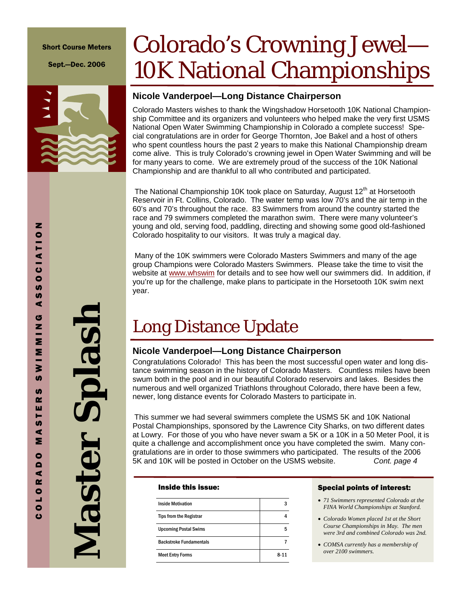#### Short Course Meters

Sept.—Dec. 2006

# Colorado's Crowning Jewel— 10K National Championships

### **Nicole Vanderpoel—Long Distance Chairperson**

Colorado Masters wishes to thank the Wingshadow Horsetooth 10K National Championship Committee and its organizers and volunteers who helped make the very first USMS National Open Water Swimming Championship in Colorado a complete success! Special congratulations are in order for George Thornton, Joe Bakel and a host of others who spent countless hours the past 2 years to make this National Championship dream come alive. This is truly Colorado's crowning jewel in Open Water Swimming and will be for many years to come. We are extremely proud of the success of the 10K National Championship and are thankful to all who contributed and participated.

The National Championship 10K took place on Saturday, August  $12<sup>th</sup>$  at Horsetooth Reservoir in Ft. Collins, Colorado. The water temp was low 70's and the air temp in the 60's and 70's throughout the race. 83 Swimmers from around the country started the race and 79 swimmers completed the marathon swim. There were many volunteer's young and old, serving food, paddling, directing and showing some good old-fashioned Colorado hospitality to our visitors. It was truly a magical day.

 Many of the 10K swimmers were Colorado Masters Swimmers and many of the age group Champions were Colorado Masters Swimmers. Please take the time to visit the website at www.whswim for details and to see how well our swimmers did. In addition, if you're up for the challenge, make plans to participate in the Horsetooth 10K swim next year.

### Long Distance Update

### **Nicole Vanderpoel—Long Distance Chairperson**

Congratulations Colorado! This has been the most successful open water and long distance swimming season in the history of Colorado Masters. Countless miles have been swum both in the pool and in our beautiful Colorado reservoirs and lakes. Besides the numerous and well organized Triathlons throughout Colorado, there have been a few, newer, long distance events for Colorado Masters to participate in.

This summer we had several swimmers complete the USMS 5K and 10K National Postal Championships, sponsored by the Lawrence City Sharks, on two different dates at Lowry. For those of you who have never swam a 5K or a 10K in a 50 Meter Pool, it is quite a challenge and accomplishment once you have completed the swim. Many congratulations are in order to those swimmers who participated. The results of the 2006 5K and 10K will be posted in October on the USMS website. *Cont. page 4*

#### Inside this issue:

| <b>Inside Motivation</b>       |      |
|--------------------------------|------|
| <b>Tips from the Registrar</b> |      |
| <b>Upcoming Postal Swims</b>   |      |
| <b>Backstroke Fundamentals</b> |      |
| <b>Meet Entry Forms</b>        | 8-11 |

#### Special points of interest:

- *71 Swimmers represented Colorado at the FINA World Championships at Stanford.*
- *Colorado Women placed 1st at the Short Course Championships in May. The men were 3rd and combined Colorado was 2nd.*
- *COMSA currently has a membership of over 2100 swimmers.*

z

**Master Splash**  Splash Master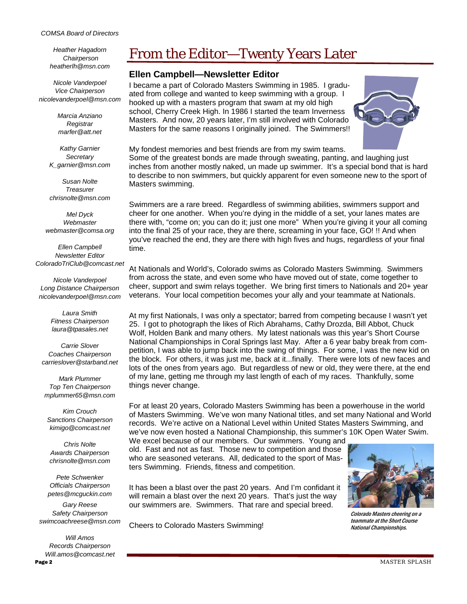#### *COMSA Board of Directors*

*Heather Hagadorn Chairperson heatherlh@msn.com* 

*Nicole Vanderpoel Vice Chairperson nicolevanderpoel@msn.com* 

> *Marcia Anziano Registrar marfer@att.net*

*Kathy Garnier Secretary K\_garnier@msn.com* 

*Susan Nolte Treasurer chrisnolte@msn.com* 

*Mel Dyck Webmaster webmaster@comsa.org* 

*Ellen Campbell Newsletter Editor ColoradoTriClub@comcast.net* 

*Nicole Vanderpoel Long Distance Chairperson nicolevanderpoel@msn.com* 

> *Laura Smith Fitness Chairperson laura@tpasales.net*

*Carrie Slover Coaches Chairperson carrieslover@starband.net* 

*Mark Plummer Top Ten Chairperson mplummer65@msn.com* 

*Kim Crouch Sanctions Chairperson kimigo@comcast.net* 

*Chris Nolte Awards Chairperson chrisnolte@msn.com* 

*Pete Schwenker Officials Chairperson petes@mcguckin.com* 

*Gary Reese Safety Chairperson swimcoachreese@msn.com* 

Page 2 *Will Amos Records Chairperson Will.amos@comcast.net*

### From the Editor—Twenty Years Later

### **Ellen Campbell—Newsletter Editor**

I became a part of Colorado Masters Swimming in 1985. I graduated from college and wanted to keep swimming with a group. I hooked up with a masters program that swam at my old high school, Cherry Creek High. In 1986 I started the team Inverness Masters. And now, 20 years later, I'm still involved with Colorado Masters for the same reasons I originally joined. The Swimmers!!



My fondest memories and best friends are from my swim teams. Some of the greatest bonds are made through sweating, panting, and laughing just inches from another mostly naked, un made up swimmer. It's a special bond that is hard to describe to non swimmers, but quickly apparent for even someone new to the sport of Masters swimming.

Swimmers are a rare breed. Regardless of swimming abilities, swimmers support and cheer for one another. When you're dying in the middle of a set, your lanes mates are there with, "come on; you can do it; just one more" When you're giving it your all coming into the final 25 of your race, they are there, screaming in your face, GO! !! And when you've reached the end, they are there with high fives and hugs, regardless of your final time.

At Nationals and World's, Colorado swims as Colorado Masters Swimming. Swimmers from across the state, and even some who have moved out of state, come together to cheer, support and swim relays together. We bring first timers to Nationals and 20+ year veterans. Your local competition becomes your ally and your teammate at Nationals.

At my first Nationals, I was only a spectator; barred from competing because I wasn't yet 25. I got to photograph the likes of Rich Abrahams, Cathy Drozda, Bill Abbot, Chuck Wolf, Holden Bank and many others. My latest nationals was this year's Short Course National Championships in Coral Springs last May. After a 6 year baby break from competition, I was able to jump back into the swing of things. For some, I was the new kid on the block. For others, it was just me, back at it...finally. There were lots of new faces and lots of the ones from years ago. But regardless of new or old, they were there, at the end of my lane, getting me through my last length of each of my races. Thankfully, some things never change.

For at least 20 years, Colorado Masters Swimming has been a powerhouse in the world of Masters Swimming. We've won many National titles, and set many National and World records. We're active on a National Level within United States Masters Swimming, and we've now even hosted a National Championship, this summer's 10K Open Water Swim.

We excel because of our members. Our swimmers. Young and old. Fast and not as fast. Those new to competition and those who are seasoned veterans. All, dedicated to the sport of Masters Swimming. Friends, fitness and competition.

It has been a blast over the past 20 years. And I'm confidant it will remain a blast over the next 20 years. That's just the way our swimmers are. Swimmers. That rare and special breed.

Cheers to Colorado Masters Swimming!



Colorado Masters cheering on a teammate at the Short Course National Championships.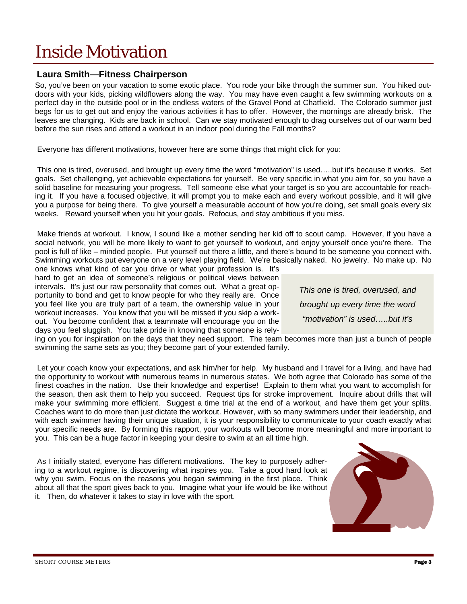### Inside Motivation

### **Laura Smith—Fitness Chairperson**

So, you've been on your vacation to some exotic place. You rode your bike through the summer sun. You hiked outdoors with your kids, picking wildflowers along the way. You may have even caught a few swimming workouts on a perfect day in the outside pool or in the endless waters of the Gravel Pond at Chatfield. The Colorado summer just begs for us to get out and enjoy the various activities it has to offer. However, the mornings are already brisk. The leaves are changing. Kids are back in school. Can we stay motivated enough to drag ourselves out of our warm bed before the sun rises and attend a workout in an indoor pool during the Fall months?

Everyone has different motivations, however here are some things that might click for you:

 This one is tired, overused, and brought up every time the word "motivation" is used…..but it's because it works. Set goals. Set challenging, yet achievable expectations for yourself. Be very specific in what you aim for, so you have a solid baseline for measuring your progress. Tell someone else what your target is so you are accountable for reaching it. If you have a focused objective, it will prompt you to make each and every workout possible, and it will give you a purpose for being there. To give yourself a measurable account of how you're doing, set small goals every six weeks. Reward yourself when you hit your goals. Refocus, and stay ambitious if you miss.

 Make friends at workout. I know, I sound like a mother sending her kid off to scout camp. However, if you have a social network, you will be more likely to want to get yourself to workout, and enjoy yourself once you're there. The pool is full of like – minded people. Put yourself out there a little, and there's bound to be someone you connect with. Swimming workouts put everyone on a very level playing field. We're basically naked. No jewelry. No make up. No

one knows what kind of car you drive or what your profession is. It's hard to get an idea of someone's religious or political views between intervals. It's just our raw personality that comes out. What a great opportunity to bond and get to know people for who they really are. Once you feel like you are truly part of a team, the ownership value in your workout increases. You know that you will be missed if you skip a workout. You become confident that a teammate will encourage you on the days you feel sluggish. You take pride in knowing that someone is rely-

*This one is tired, overused, and brought up every time the word "motivation" is used…..but it's* 

ing on you for inspiration on the days that they need support. The team becomes more than just a bunch of people swimming the same sets as you; they become part of your extended family.

 Let your coach know your expectations, and ask him/her for help. My husband and I travel for a living, and have had the opportunity to workout with numerous teams in numerous states. We both agree that Colorado has some of the finest coaches in the nation. Use their knowledge and expertise! Explain to them what you want to accomplish for the season, then ask them to help you succeed. Request tips for stroke improvement. Inquire about drills that will make your swimming more efficient. Suggest a time trial at the end of a workout, and have them get your splits. Coaches want to do more than just dictate the workout. However, with so many swimmers under their leadership, and with each swimmer having their unique situation, it is your responsibility to communicate to your coach exactly what your specific needs are. By forming this rapport, your workouts will become more meaningful and more important to you. This can be a huge factor in keeping your desire to swim at an all time high.

 As I initially stated, everyone has different motivations. The key to purposely adhering to a workout regime, is discovering what inspires you. Take a good hard look at why you swim. Focus on the reasons you began swimming in the first place. Think about all that the sport gives back to you. Imagine what your life would be like without it. Then, do whatever it takes to stay in love with the sport.

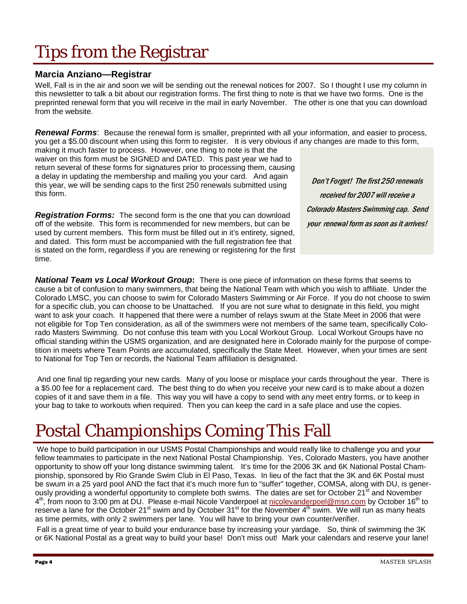## Tips from the Registrar

### **Marcia Anziano—Registrar**

Well, Fall is in the air and soon we will be sending out the renewal notices for 2007. So I thought I use my column in this newsletter to talk a bit about our registration forms. The first thing to note is that we have two forms. One is the preprinted renewal form that you will receive in the mail in early November. The other is one that you can download from the website.

*Renewal Forms*: Because the renewal form is smaller, preprinted with all your information, and easier to process, you get a \$5.00 discount when using this form to register. It is very obvious if any changes are made to this form,

making it much faster to process. However, one thing to note is that the waiver on this form must be SIGNED and DATED. This past year we had to return several of these forms for signatures prior to processing them, causing a delay in updating the membership and mailing you your card. And again this year, we will be sending caps to the first 250 renewals submitted using this form.

*Registration Forms:* The second form is the one that you can download off of the website. This form is recommended for new members, but can be used by current members. This form must be filled out in it's entirety, signed, and dated. This form must be accompanied with the full registration fee that is stated on the form, regardless if you are renewing or registering for the first time.

Don't Forget! The first 250 renewals received for 2007 will receive a Colorado Masters Swimming cap. Send your renewal form as soon as it arrives!

*National Team vs Local Workout Group***:** There is one piece of information on these forms that seems to cause a bit of confusion to many swimmers, that being the National Team with which you wish to affiliate. Under the Colorado LMSC, you can choose to swim for Colorado Masters Swimming or Air Force. If you do not choose to swim for a specific club, you can choose to be Unattached. If you are not sure what to designate in this field, you might want to ask your coach. It happened that there were a number of relays swum at the State Meet in 2006 that were not eligible for Top Ten consideration, as all of the swimmers were not members of the same team, specifically Colorado Masters Swimming. Do not confuse this team with you Local Workout Group. Local Workout Groups have no official standing within the USMS organization, and are designated here in Colorado mainly for the purpose of competition in meets where Team Points are accumulated, specifically the State Meet. However, when your times are sent to National for Top Ten or records, the National Team affiliation is designated.

 And one final tip regarding your new cards. Many of you loose or misplace your cards throughout the year. There is a \$5.00 fee for a replacement card. The best thing to do when you receive your new card is to make about a dozen copies of it and save them in a file. This way you will have a copy to send with any meet entry forms, or to keep in your bag to take to workouts when required. Then you can keep the card in a safe place and use the copies.

## Postal Championships Coming This Fall

We hope to build participation in our USMS Postal Championships and would really like to challenge you and your fellow teammates to participate in the next National Postal Championship. Yes, Colorado Masters, you have another opportunity to show off your long distance swimming talent. It's time for the 2006 3K and 6K National Postal Championship, sponsored by Rio Grande Swim Club in El Paso, Texas. In lieu of the fact that the 3K and 6K Postal must be swum in a 25 yard pool AND the fact that it's much more fun to "suffer" together, COMSA, along with DU, is generously providing a wonderful opportunity to complete both swims. The dates are set for October 21<sup>st</sup> and November  $4<sup>th</sup>$ , from noon to 3:00 pm at DU. Please e-mail Nicole Vanderpoel at nicolevanderpoel@msn.com by October 16<sup>th</sup> to reserve a lane for the October 21<sup>st</sup> swim and by October 31<sup>st</sup> for the November 4<sup>th</sup> swim. We will run as many heats as time permits, with only 2 swimmers per lane. You will have to bring your own counter/verifier.

Fall is a great time of year to build your endurance base by increasing your yardage. So, think of swimming the 3K or 6K National Postal as a great way to build your base! Don't miss out! Mark your calendars and reserve your lane!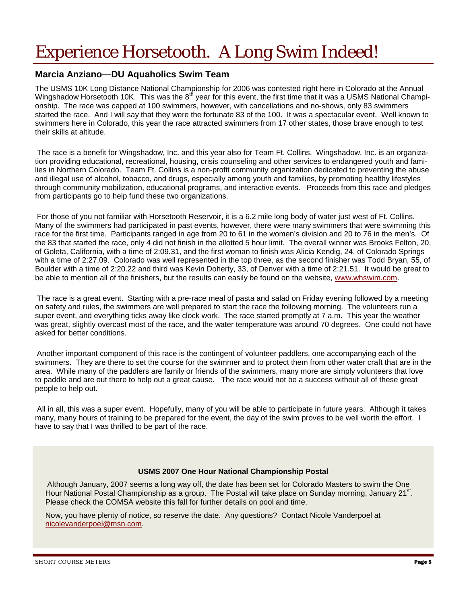## Experience Horsetooth. A Long Swim Indeed!

### **Marcia Anziano—DU Aquaholics Swim Team**

The USMS 10K Long Distance National Championship for 2006 was contested right here in Colorado at the Annual Wingshadow Horsetooth 10K. This was the 8<sup>th</sup> year for this event, the first time that it was a USMS National Championship. The race was capped at 100 swimmers, however, with cancellations and no-shows, only 83 swimmers started the race. And I will say that they were the fortunate 83 of the 100. It was a spectacular event. Well known to swimmers here in Colorado, this year the race attracted swimmers from 17 other states, those brave enough to test their skills at altitude.

The race is a benefit for Wingshadow, Inc. and this year also for Team Ft. Collins. Wingshadow, Inc. is an organization providing educational, recreational, housing, crisis counseling and other services to endangered youth and families in Northern Colorado. Team Ft. Collins is a non-profit community organization dedicated to preventing the abuse and illegal use of alcohol, tobacco, and drugs, especially among youth and families, by promoting healthy lifestyles through community mobilization, educational programs, and interactive events. Proceeds from this race and pledges from participants go to help fund these two organizations.

For those of you not familiar with Horsetooth Reservoir, it is a 6.2 mile long body of water just west of Ft. Collins. Many of the swimmers had participated in past events, however, there were many swimmers that were swimming this race for the first time. Participants ranged in age from 20 to 61 in the women's division and 20 to 76 in the men's. Of the 83 that started the race, only 4 did not finish in the allotted 5 hour limit. The overall winner was Brooks Felton, 20, of Goleta, California, with a time of 2:09.31, and the first woman to finish was Alicia Kendig, 24, of Colorado Springs with a time of 2:27.09. Colorado was well represented in the top three, as the second finisher was Todd Bryan, 55, of Boulder with a time of 2:20.22 and third was Kevin Doherty, 33, of Denver with a time of 2:21.51. It would be great to be able to mention all of the finishers, but the results can easily be found on the website, www.whswim.com.

The race is a great event. Starting with a pre-race meal of pasta and salad on Friday evening followed by a meeting on safety and rules, the swimmers are well prepared to start the race the following morning. The volunteers run a super event, and everything ticks away like clock work. The race started promptly at 7 a.m. This year the weather was great, slightly overcast most of the race, and the water temperature was around 70 degrees. One could not have asked for better conditions.

Another important component of this race is the contingent of volunteer paddlers, one accompanying each of the swimmers. They are there to set the course for the swimmer and to protect them from other water craft that are in the area. While many of the paddlers are family or friends of the swimmers, many more are simply volunteers that love to paddle and are out there to help out a great cause. The race would not be a success without all of these great people to help out.

All in all, this was a super event. Hopefully, many of you will be able to participate in future years. Although it takes many, many hours of training to be prepared for the event, the day of the swim proves to be well worth the effort. I have to say that I was thrilled to be part of the race.

### **USMS 2007 One Hour National Championship Postal**

Although January, 2007 seems a long way off, the date has been set for Colorado Masters to swim the One Hour National Postal Championship as a group. The Postal will take place on Sunday morning, January 21<sup>st</sup>. Please check the COMSA website this fall for further details on pool and time.

Now, you have plenty of notice, so reserve the date. Any questions? Contact Nicole Vanderpoel at nicolevanderpoel@msn.com.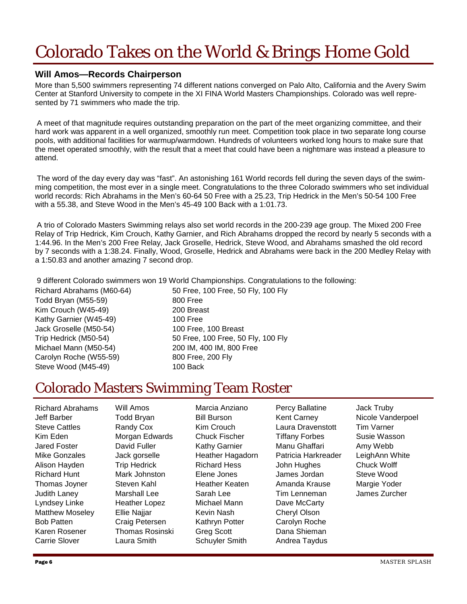## Colorado Takes on the World & Brings Home Gold

### **Will Amos—Records Chairperson**

More than 5,500 swimmers representing 74 different nations converged on Palo Alto, California and the Avery Swim Center at Stanford University to compete in the XI FINA World Masters Championships. Colorado was well represented by 71 swimmers who made the trip.

A meet of that magnitude requires outstanding preparation on the part of the meet organizing committee, and their hard work was apparent in a well organized, smoothly run meet. Competition took place in two separate long course pools, with additional facilities for warmup/warmdown. Hundreds of volunteers worked long hours to make sure that the meet operated smoothly, with the result that a meet that could have been a nightmare was instead a pleasure to attend.

The word of the day every day was "fast". An astonishing 161 World records fell during the seven days of the swimming competition, the most ever in a single meet. Congratulations to the three Colorado swimmers who set individual world records: Rich Abrahams in the Men's 60-64 50 Free with a 25.23, Trip Hedrick in the Men's 50-54 100 Free with a 55.38, and Steve Wood in the Men's 45-49 100 Back with a 1:01.73.

A trio of Colorado Masters Swimming relays also set world records in the 200-239 age group. The Mixed 200 Free Relay of Trip Hedrick, Kim Crouch, Kathy Garnier, and Rich Abrahams dropped the record by nearly 5 seconds with a 1:44.96. In the Men's 200 Free Relay, Jack Groselle, Hedrick, Steve Wood, and Abrahams smashed the old record by 7 seconds with a 1:38.24. Finally, Wood, Groselle, Hedrick and Abrahams were back in the 200 Medley Relay with a 1:50.83 and another amazing 7 second drop.

9 different Colorado swimmers won 19 World Championships. Congratulations to the following:

Todd Bryan (M55-59) 800 Free Kim Crouch (W45-49) 200 Breast Kathy Garnier (W45-49) 100 Free Jack Groselle (M50-54) 100 Free, 100 Breast Michael Mann (M50-54) 200 IM, 400 IM, 800 Free Carolyn Roche (W55-59) 800 Free, 200 Fly Steve Wood (M45-49) 100 Back

Richard Abrahams (M60-64) 50 Free, 100 Free, 50 Fly, 100 Fly Trip Hedrick (M50-54) 50 Free, 100 Free, 50 Fly, 100 Fly

### Colorado Masters Swimming Team Roster

Richard Abrahams Jeff Barber Steve Cattles Kim Eden Jared Foster Mike Gonzales Alison Hayden Richard Hunt Thomas Joyner Judith Laney Lyndsey Linke Matthew Moseley Bob Patten Karen Rosener Carrie Slover Will Amos Todd Bryan Randy Cox Morgan Edwards David Fuller Jack gorselle Trip Hedrick Mark Johnston Steven Kahl Marshall Lee Heather Lopez Ellie Najjar Craig Petersen Thomas Rosinski Laura Smith Marcia Anziano Bill Burson Kim Crouch Chuck Fischer Kathy Garnier Heather Hagadorn Richard Hess Elene Jones Heather Keaten Sarah Lee Michael Mann Kevin Nash Kathryn Potter Greg Scott Schuyler Smith Percy Ballatine Kent Carney Laura Dravenstott Tiffany Forbes Manu Ghaffari Patricia Harkreader John Hughes James Jordan Amanda Krause Tim Lenneman Dave McCarty Cheryl Olson Carolyn Roche Dana Shieman Andrea Taydus Jack Truby Nicole Vanderpoel Tim Varner Susie Wasson Amy Webb LeighAnn White Chuck Wolff Steve Wood Margie Yoder James Zurcher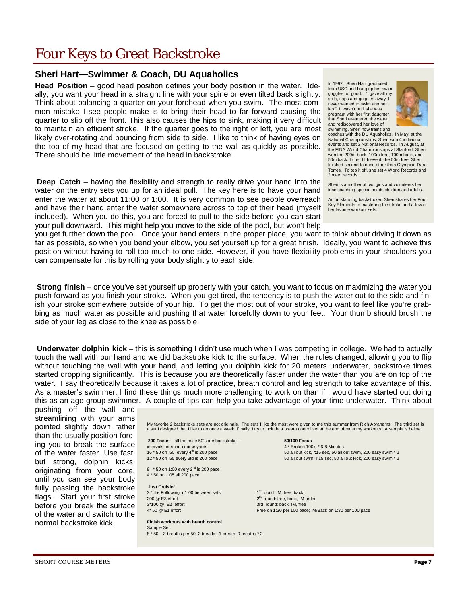### Four Keys to Great Backstroke

### **Sheri Hart—Swimmer & Coach, DU Aquaholics**

**Head Position** – good head position defines your body position in the water. Ideally, you want your head in a straight line with your spine or even tilted back slightly. Think about balancing a quarter on your forehead when you swim. The most common mistake I see people make is to bring their head to far forward causing the quarter to slip off the front. This also causes the hips to sink, making it very difficult to maintain an efficient stroke. If the quarter goes to the right or left, you are most likely over-rotating and bouncing from side to side. I like to think of having eyes on the top of my head that are focused on getting to the wall as quickly as possible. There should be little movement of the head in backstroke.

**Deep Catch** – having the flexibility and strength to really drive your hand into the water on the entry sets you up for an ideal pull. The key here is to have your hand enter the water at about 11:00 or 1:00. It is very common to see people overreach and have their hand enter the water somewhere across to top of their head (myself included). When you do this, you are forced to pull to the side before you can start your pull downward. This might help you move to the side of the pool, but won't help

In 1992, Sheri Hart graduated from USC and hung up her swim goggles for good. "I gave all my suits, caps and goggles away. I never wanted to swim another lap." It wasn't until she was pregnant with her first daughter that Sheri re-entered the water and rediscovered her love of swimming. Sheri now trains and



coaches with the DU Aquaholics. In May, at the National Championships, Sheri won 4 individual events and set 3 National Records. In August, at the FINA World Championships at Stanford, Sheri won the 200m back, 100m free, 100m back, and 50m back. In her fifth event, the 50m free, Sheri finished second to none other than Olympian Dara Torres. To top it off, she set 4 World Records and 2 meet records.

Sheri is a mother of two girls and volunteers her time coaching special needs children and adults.

An outstanding backstroker, Sheri shares her Four Key Elements to mastering the stroke and a few of her favorite workout sets.

you get further down the pool. Once your hand enters in the proper place, you want to think about driving it down as far as possible, so when you bend your elbow, you set yourself up for a great finish. Ideally, you want to achieve this position without having to roll too much to one side. However, if you have flexibility problems in your shoulders you can compensate for this by rolling your body slightly to each side.

**Strong finish** – once you've set yourself up properly with your catch, you want to focus on maximizing the water you push forward as you finish your stroke. When you get tired, the tendency is to push the water out to the side and finish your stroke somewhere outside of your hip. To get the most out of your stroke, you want to feel like you're grabbing as much water as possible and pushing that water forcefully down to your feet. Your thumb should brush the side of your leg as close to the knee as possible.

**Underwater dolphin kick** – this is something I didn't use much when I was competing in college. We had to actually touch the wall with our hand and we did backstroke kick to the surface. When the rules changed, allowing you to flip without touching the wall with your hand, and letting you dolphin kick for 20 meters underwater, backstroke times started dropping significantly. This is because you are theoretically faster under the water than you are on top of the water. I say theoretically because it takes a lot of practice, breath control and leg strength to take advantage of this. As a master's swimmer, I find these things much more challenging to work on than if I would have started out doing this as an age group swimmer. A couple of tips can help you take advantage of your time underwater. Think about

pushing off the wall and streamlining with your arms pointed slightly down rather than the usually position forcing you to break the surface of the water faster. Use fast, but strong, dolphin kicks, originating from your core, until you can see your body fully passing the backstroke flags. Start your first stroke before you break the surface of the water and switch to the normal backstroke kick.

My favorite 2 backstroke sets are not originals. The sets I like the most were given to me this summer from Rich Abrahams. The third set is a set I designed that I like to do once a week. Finally, I try to include a breath control set at the end of most my workouts. A sample is below.

**200 Focus** – all the pace 50's are backstroke – **50/100 Focus** – intervals for short course yards and the state of the state of the 4 \* Broken 100's \* 6-8 Minutes<br>16 \* 50 on :50 every 4<sup>th</sup> is 200 pace 60 and the 50 all out kick, r:15 sec, 50 all out kick, r:15 sec, 50 all

8  $*$  50 on 1:00 every 2<sup>nd</sup> is 200 pace 4 \* 50 on 1:05 all 200 pace

#### **Just Cruisin'**

3 \* the Following, r 1:00 between sets 1st round: IM, free, back  $200 \text{ @ } E3$  effort  $2^{\text{nd}}$  round: free, back, IM order 3\*100 @ E2 effort 3rd round: back, IM, free

#### **Finish workouts with breath control**  Sample Set: 8 \* 50 3 breaths per 50, 2 breaths, 1 breath, 0 breaths \* 2

50 all out kick, r:15 sec, 50 all out swim, 200 easy swim \* 2 12 \* 50 on :55 every 3td is 200 pace 50 all out swim, r:15 sec, 50 all out kick, 200 easy swim \* 2

4\* 50 @ E1 effort Free on 1:20 per 100 pace: IM/Back on 1:30 per 100 pace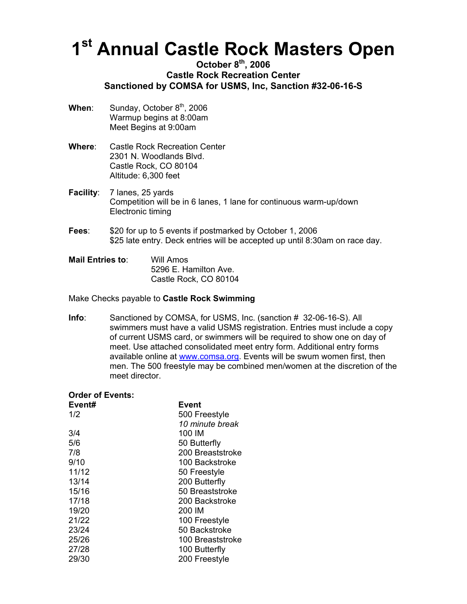## **1st Annual Castle Rock Masters Open**

### **October 8th, 2006 Castle Rock Recreation Center Sanctioned by COMSA for USMS, Inc, Sanction #32-06-16-S**

- **When:** Sunday, October 8<sup>th</sup>, 2006 Warmup begins at 8:00am Meet Begins at 9:00am
- **Where**: Castle Rock Recreation Center 2301 N. Woodlands Blvd. Castle Rock, CO 80104 Altitude: 6,300 feet
- **Facility:** 7 lanes, 25 yards Competition will be in 6 lanes, 1 lane for continuous warm-up/down Electronic timing
- **Fees**: \$20 for up to 5 events if postmarked by October 1, 2006 \$25 late entry. Deck entries will be accepted up until 8:30am on race day.
- **Mail Entries to**: Will Amos 5296 E. Hamilton Ave. Castle Rock, CO 80104

### Make Checks payable to **Castle Rock Swimming**

**Info**: Sanctioned by COMSA, for USMS, Inc. (sanction # 32-06-16-S). All swimmers must have a valid USMS registration. Entries must include a copy of current USMS card, or swimmers will be required to show one on day of meet. Use attached consolidated meet entry form. Additional entry forms available online at [www.comsa.org](http://www.comsa.org/). Events will be swum women first, then men. The 500 freestyle may be combined men/women at the discretion of the meet director.

| <b>Order of Events:</b> |  |
|-------------------------|--|
|-------------------------|--|

| Event# | Event            |
|--------|------------------|
| 1/2    | 500 Freestyle    |
|        | 10 minute break  |
| 3/4    | 100 IM           |
| 5/6    | 50 Butterfly     |
| 7/8    | 200 Breaststroke |
| 9/10   | 100 Backstroke   |
| 11/12  | 50 Freestyle     |
| 13/14  | 200 Butterfly    |
| 15/16  | 50 Breaststroke  |
| 17/18  | 200 Backstroke   |
| 19/20  | 200 IM           |
| 21/22  | 100 Freestyle    |
| 23/24  | 50 Backstroke    |
| 25/26  | 100 Breaststroke |
| 27/28  | 100 Butterfly    |
| 29/30  | 200 Freestyle    |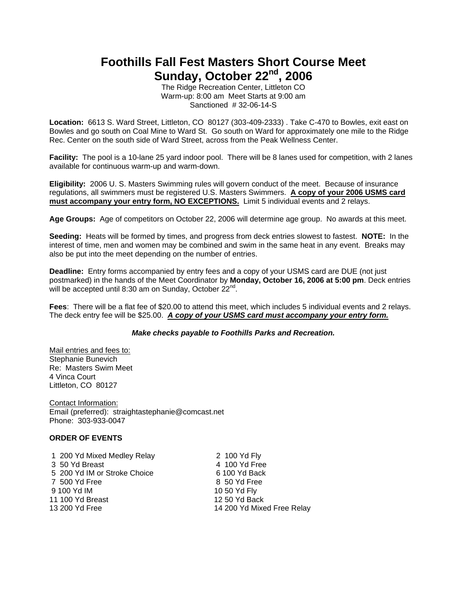### **Foothills Fall Fest Masters Short Course Meet**  Sunday, October 22<sup>nd</sup>, 2006

The Ridge Recreation Center, Littleton CO Warm-up: 8:00 am Meet Starts at 9:00 am Sanctioned # 32-06-14-S

**Location:** 6613 S. Ward Street, Littleton, CO 80127 (303-409-2333) . Take C-470 to Bowles, exit east on Bowles and go south on Coal Mine to Ward St. Go south on Ward for approximately one mile to the Ridge Rec. Center on the south side of Ward Street, across from the Peak Wellness Center.

**Facility:** The pool is a 10-lane 25 yard indoor pool. There will be 8 lanes used for competition, with 2 lanes available for continuous warm-up and warm-down.

**Eligibility:** 2006 U. S. Masters Swimming rules will govern conduct of the meet. Because of insurance regulations, all swimmers must be registered U.S. Masters Swimmers. **A copy of your 2006 USMS card must accompany your entry form, NO EXCEPTIONS.** Limit 5 individual events and 2 relays.

**Age Groups:** Age of competitors on October 22, 2006 will determine age group. No awards at this meet.

**Seeding:** Heats will be formed by times, and progress from deck entries slowest to fastest. **NOTE:** In the interest of time, men and women may be combined and swim in the same heat in any event. Breaks may also be put into the meet depending on the number of entries.

**Deadline:** Entry forms accompanied by entry fees and a copy of your USMS card are DUE (not just postmarked) in the hands of the Meet Coordinator by **Monday, October 16, 2006 at 5:00 pm**. Deck entries will be accepted until 8:30 am on Sunday, October 22<sup>nd</sup>.

**Fees**: There will be a flat fee of \$20.00 to attend this meet, which includes 5 individual events and 2 relays. The deck entry fee will be \$25.00. *A copy of your USMS card must accompany your entry form.*

### *Make checks payable to Foothills Parks and Recreation.*

Mail entries and fees to: Stephanie Bunevich Re: Masters Swim Meet 4 Vinca Court Littleton, CO 80127

Contact Information: Email (preferred): straightastephanie@comcast.net Phone: 303-933-0047

### **ORDER OF EVENTS**

 1 200 Yd Mixed Medley Relay 2 100 Yd Fly 3 50 Yd Breast 4 100 Yd Free 5 200 Yd IM or Stroke Choice 6 100 Yd Back 7 500 Yd Free 8 50 Yd Free 9 100 Yd IM 10 50 Yd Fly 11 100 Yd Breast 12 50 Yd Back<br>13 200 Yd Free 12 14 200 Yd Mixe

14 200 Yd Mixed Free Relay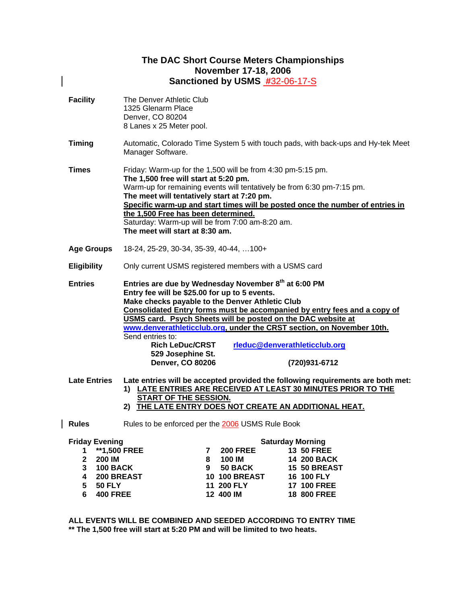### **The DAC Short Course Meters Championships November 17-18, 2006 Sanctioned by USMS #**32-06-17-S

 $\overline{\phantom{a}}$ 

| <b>Facility</b>                                                                                                                      | The Denver Athletic Club<br>1325 Glenarm Place<br>Denver, CO 80204<br>8 Lanes x 25 Meter pool.                                                                                                                                                                                                                                                                                                                                                                                                                                |
|--------------------------------------------------------------------------------------------------------------------------------------|-------------------------------------------------------------------------------------------------------------------------------------------------------------------------------------------------------------------------------------------------------------------------------------------------------------------------------------------------------------------------------------------------------------------------------------------------------------------------------------------------------------------------------|
| <b>Timing</b>                                                                                                                        | Automatic, Colorado Time System 5 with touch pads, with back-ups and Hy-tek Meet<br>Manager Software.                                                                                                                                                                                                                                                                                                                                                                                                                         |
| Times                                                                                                                                | Friday: Warm-up for the 1,500 will be from 4:30 pm-5:15 pm.<br>The 1,500 free will start at 5:20 pm.<br>Warm-up for remaining events will tentatively be from 6:30 pm-7:15 pm.<br>The meet will tentatively start at 7:20 pm.<br>Specific warm-up and start times will be posted once the number of entries in<br>the 1,500 Free has been determined.<br>Saturday: Warm-up will be from 7:00 am-8:20 am.<br>The meet will start at 8:30 am.                                                                                   |
| <b>Age Groups</b>                                                                                                                    | 18-24, 25-29, 30-34, 35-39, 40-44,  100+                                                                                                                                                                                                                                                                                                                                                                                                                                                                                      |
| <b>Eligibility</b>                                                                                                                   | Only current USMS registered members with a USMS card                                                                                                                                                                                                                                                                                                                                                                                                                                                                         |
| <b>Entries</b>                                                                                                                       | Entries are due by Wednesday November 8th at 6:00 PM<br>Entry fee will be \$25.00 for up to 5 events.<br>Make checks payable to the Denver Athletic Club<br>Consolidated Entry forms must be accompanied by entry fees and a copy of<br>USMS card. Psych Sheets will be posted on the DAC website at<br>www.denverathleticclub.org, under the CRST section, on November 10th.<br>Send entries to:<br><b>Rich LeDuc/CRST</b><br>rleduc@denverathleticclub.org<br>529 Josephine St.<br><b>Denver, CO 80206</b><br>(720)931-6712 |
| <b>Late Entries</b>                                                                                                                  | Late entries will be accepted provided the following requirements are both met:<br>1) LATE ENTRIES ARE RECEIVED AT LEAST 30 MINUTES PRIOR TO THE<br>START OF THE SESSION.<br>2) THE LATE ENTRY DOES NOT CREATE AN ADDITIONAL HEAT.                                                                                                                                                                                                                                                                                            |
| <b>Rules</b>                                                                                                                         | Rules to be enforced per the 2006 USMS Rule Book                                                                                                                                                                                                                                                                                                                                                                                                                                                                              |
| <b>Friday Evening</b><br><b>**1,500 FREE</b><br>1<br>$\mathbf{2}$<br><b>200 IM</b><br>3<br><b>100 BACK</b><br>4<br><b>200 BREAST</b> | <b>Saturday Morning</b><br>$7^{\circ}$<br><b>200 FREE</b><br><b>13 50 FREE</b><br>100 IM<br>8<br><b>14 200 BACK</b><br>50 BACK<br><b>15 50 BREAST</b><br>9<br><b>10 100 BREAST</b><br>16 100 FLY                                                                                                                                                                                                                                                                                                                              |

**ALL EVENTS WILL BE COMBINED AND SEEDED ACCORDING TO ENTRY TIME \*\* The 1,500 free will start at 5:20 PM and will be limited to two heats.** 

**5 50 FLY 11 200 FLY 17 100 FREE 6 400 FREE 12 400 IM 18 800 FREE**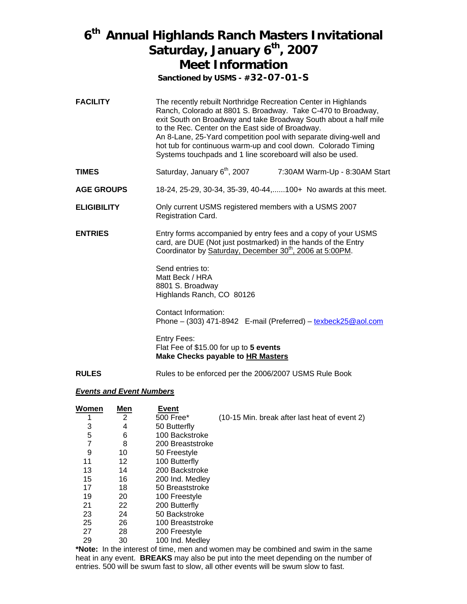### **6th Annual Highlands Ranch Masters Invitational**  Saturday, January 6<sup>th</sup>, 2007 **Meet Information**

**Sanctioned by USMS - #32-07-01-S**

- **FACILITY** The recently rebuilt Northridge Recreation Center in Highlands Ranch, Colorado at 8801 S. Broadway. Take C-470 to Broadway, exit South on Broadway and take Broadway South about a half mile to the Rec. Center on the East side of Broadway. An 8-Lane, 25-Yard competition pool with separate diving-well and hot tub for continuous warm-up and cool down. Colorado Timing Systems touchpads and 1 line scoreboard will also be used.
- **TIMES** Saturday, January 6<sup>th</sup>, 2007 7:30AM Warm-Up 8:30AM Start
- **AGE GROUPS** 18-24, 25-29, 30-34, 35-39, 40-44,......100+ No awards at this meet.
- **ELIGIBILITY** Only current USMS registered members with a USMS 2007 Registration Card.
- **ENTRIES** Entry forms accompanied by entry fees and a copy of your USMS card, are DUE (Not just postmarked) in the hands of the Entry Coordinator by Saturday, December 30<sup>th</sup>, 2006 at 5:00PM.

Send entries to: Matt Beck / HRA 8801 S. Broadway Highlands Ranch, CO 80126

Contact Information: Phone – (303) 471-8942 E-mail (Preferred) – texbeck25@aol.com

Entry Fees: Flat Fee of \$15.00 for up to **5 events Make Checks payable to HR Masters**

**RULES** Rules to be enforced per the 2006/2007 USMS Rule Book

### *Events and Event Numbers*

| Women | Men | Event            |                                               |
|-------|-----|------------------|-----------------------------------------------|
|       | 2   | 500 Free*        | (10-15 Min. break after last heat of event 2) |
| 3     | 4   | 50 Butterfly     |                                               |
| 5     | 6   | 100 Backstroke   |                                               |
| 7     | 8   | 200 Breaststroke |                                               |
| 9     | 10  | 50 Freestyle     |                                               |
| 11    | 12  | 100 Butterfly    |                                               |
| 13    | 14  | 200 Backstroke   |                                               |
| 15    | 16  | 200 Ind. Medley  |                                               |
| 17    | 18  | 50 Breaststroke  |                                               |
| 19    | 20  | 100 Freestyle    |                                               |
| 21    | 22  | 200 Butterfly    |                                               |
| 23    | 24  | 50 Backstroke    |                                               |
| 25    | 26  | 100 Breaststroke |                                               |
| 27    | 28  | 200 Freestyle    |                                               |
| 29    | 30  | 100 Ind. Medley  |                                               |

**\*Note:** In the interest of time, men and women may be combined and swim in the same heat in any event. **BREAKS** may also be put into the meet depending on the number of entries. 500 will be swum fast to slow, all other events will be swum slow to fast.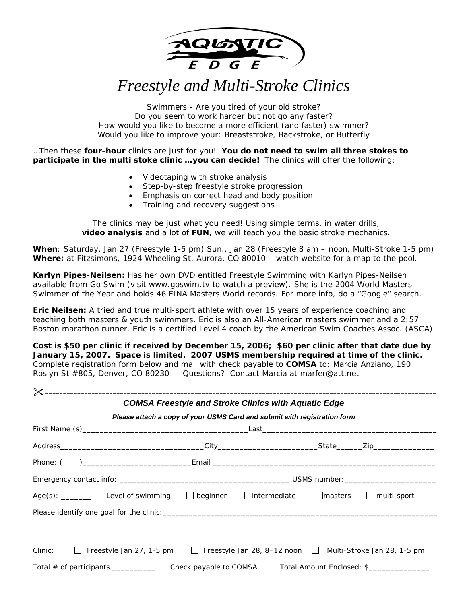

*Freestyle and Multi-Stroke Clinics* 

Swimmers - Are you tired of your old stroke? Do you seem to work harder but not go any faster? How would you like to become a more efficient (and faster) swimmer? Would you like to improve your: Breaststroke, Backstroke, or Butterfly

…Then these **four-hour** clinics are just for you! **You do not need to swim all three stokes to participate in the multi stoke clinic …you can decide!** The clinics will offer the following:

- Videotaping with stroke analysis
- Step-by-step freestyle stroke progression
- Emphasis on correct head and body position
- Training and recovery suggestions

The clinics may be just what you need! Using simple terms, in water drills, **video analysis** and a lot of **FUN**, we will teach you the basic stroke mechanics.

**When**: Saturday. Jan 27 (Freestyle 1-5 pm) Sun., Jan 28 (Freestyle 8 am – noon, Multi-Stroke 1-5 pm) **Where:** at Fitzsimons, 1924 Wheeling St, Aurora, CO 80010 – watch website for a map to the pool.

**Karlyn Pipes-Neilsen:** Has her own DVD entitled *Freestyle Swimming with Karlyn Pipes-Neilsen* available from Go Swim (visit www.goswim.tv to watch a preview). She is the 2004 World Masters Swimmer of the Year and holds 46 FINA Masters World records. For more info, do a "Google" search.

**Eric Neilsen:** A tried and true multi-sport athlete with over 15 years of experience coaching and teaching both masters & youth swimmers. Eric is also an All-American masters swimmer and a 2:57 Boston marathon runner. Eric is a certified Level 4 coach by the American Swim Coaches Assoc. (ASCA)

**Cost is \$50 per clinic if received by December 15, 2006; \$60 per clinic after that date due by January 15, 2007. Space is limited. 2007 USMS membership required at time of the clinic.**  Complete registration form below and mail with check payable to **COMSA** to: Marcia Anziano, 190 Roslyn St #805, Denver, CO 80230 Questions? Contact Marcia at marfer@att.net

|                                                                                                                  | <b>COMSA Freestyle and Stroke Clinics with Aquatic Edge</b>              |  |
|------------------------------------------------------------------------------------------------------------------|--------------------------------------------------------------------------|--|
|                                                                                                                  | Please attach a copy of your USMS Card and submit with registration form |  |
|                                                                                                                  |                                                                          |  |
|                                                                                                                  |                                                                          |  |
|                                                                                                                  |                                                                          |  |
|                                                                                                                  |                                                                          |  |
| Age(s): Level of swimming: $\Box$ beginner $\Box$ intermediate $\Box$ masters $\Box$ multi-sport                 |                                                                          |  |
|                                                                                                                  |                                                                          |  |
|                                                                                                                  |                                                                          |  |
| $\Box$ Freestyle Jan 27, 1-5 pm $\Box$ Freestyle Jan 28, 8–12 noon $\Box$ Multi-Stroke Jan 28, 1-5 pm<br>Clinic: |                                                                          |  |
|                                                                                                                  |                                                                          |  |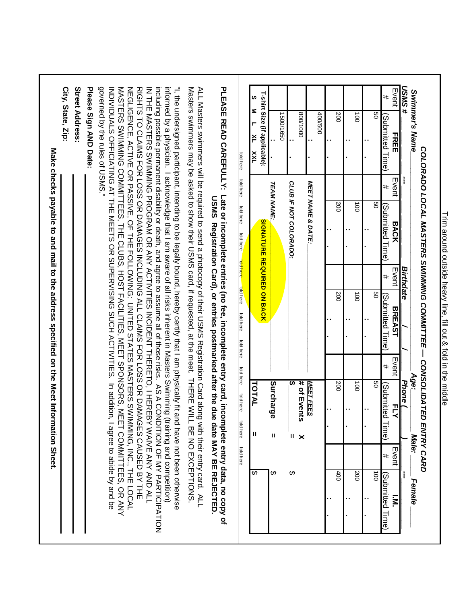| # SWSN<br>Swimmer's Name                                                                                                                                                                                                                                                                                                                                                                                                                                                                                                                                                                                                                                                                                                                                                                                                                                                                                                                                                                                                                                                                                                                                                                                                               | I                            |                                   | <b>Birthdate</b> |                                                                                                                                                                                            |       | Age.<br>Phone (      | Male:                        |       | ł<br>Female                                         |
|----------------------------------------------------------------------------------------------------------------------------------------------------------------------------------------------------------------------------------------------------------------------------------------------------------------------------------------------------------------------------------------------------------------------------------------------------------------------------------------------------------------------------------------------------------------------------------------------------------------------------------------------------------------------------------------------------------------------------------------------------------------------------------------------------------------------------------------------------------------------------------------------------------------------------------------------------------------------------------------------------------------------------------------------------------------------------------------------------------------------------------------------------------------------------------------------------------------------------------------|------------------------------|-----------------------------------|------------------|--------------------------------------------------------------------------------------------------------------------------------------------------------------------------------------------|-------|----------------------|------------------------------|-------|-----------------------------------------------------|
| Event<br>FREE                                                                                                                                                                                                                                                                                                                                                                                                                                                                                                                                                                                                                                                                                                                                                                                                                                                                                                                                                                                                                                                                                                                                                                                                                          | Event<br><b>BACK</b>         |                                   | Event            | <b>BREAST</b>                                                                                                                                                                              | Event | アマ                   |                              | Event | $\overline{\mathbf{s}}$                             |
| Submitted Time)                                                                                                                                                                                                                                                                                                                                                                                                                                                                                                                                                                                                                                                                                                                                                                                                                                                                                                                                                                                                                                                                                                                                                                                                                        | #                            | (Submitted Time)                  | #                | (Su <u>bmitted Time</u> )                                                                                                                                                                  | #     | Submitted            | Time)                        | #     | Submitted Time)                                     |
| g                                                                                                                                                                                                                                                                                                                                                                                                                                                                                                                                                                                                                                                                                                                                                                                                                                                                                                                                                                                                                                                                                                                                                                                                                                      | SO                           |                                   |                  | g                                                                                                                                                                                          |       | SO                   |                              |       | $\vec{8}$                                           |
|                                                                                                                                                                                                                                                                                                                                                                                                                                                                                                                                                                                                                                                                                                                                                                                                                                                                                                                                                                                                                                                                                                                                                                                                                                        |                              |                                   |                  |                                                                                                                                                                                            |       |                      |                              |       |                                                     |
| $\overline{5}$                                                                                                                                                                                                                                                                                                                                                                                                                                                                                                                                                                                                                                                                                                                                                                                                                                                                                                                                                                                                                                                                                                                                                                                                                         | $\vec{0}$                    |                                   |                  | $\vec{a}$                                                                                                                                                                                  |       | $\overrightarrow{0}$ |                              |       | 200                                                 |
| 200                                                                                                                                                                                                                                                                                                                                                                                                                                                                                                                                                                                                                                                                                                                                                                                                                                                                                                                                                                                                                                                                                                                                                                                                                                    | 200                          |                                   |                  | 200                                                                                                                                                                                        |       | 200                  |                              |       | 400                                                 |
| 400/500                                                                                                                                                                                                                                                                                                                                                                                                                                                                                                                                                                                                                                                                                                                                                                                                                                                                                                                                                                                                                                                                                                                                                                                                                                | <b>MEET NAME &amp; DATE:</b> |                                   |                  |                                                                                                                                                                                            |       | MEET FEES            |                              |       |                                                     |
| 0001/008                                                                                                                                                                                                                                                                                                                                                                                                                                                                                                                                                                                                                                                                                                                                                                                                                                                                                                                                                                                                                                                                                                                                                                                                                               |                              |                                   |                  |                                                                                                                                                                                            |       | # of Events          | ×                            |       |                                                     |
|                                                                                                                                                                                                                                                                                                                                                                                                                                                                                                                                                                                                                                                                                                                                                                                                                                                                                                                                                                                                                                                                                                                                                                                                                                        | CLUB IF NOT COLORADO:        |                                   |                  |                                                                                                                                                                                            |       | ↮                    | Ш                            | ↔     |                                                     |
| 1500/1650                                                                                                                                                                                                                                                                                                                                                                                                                                                                                                                                                                                                                                                                                                                                                                                                                                                                                                                                                                                                                                                                                                                                                                                                                              | <b>TEAM NAME:</b>            |                                   |                  |                                                                                                                                                                                            |       | Surcharge            | $\mathbf{I}$                 | ↔     |                                                     |
| T-shirt Size (if applicable):<br>S<br>s<br>ř<br><b>TXX</b>                                                                                                                                                                                                                                                                                                                                                                                                                                                                                                                                                                                                                                                                                                                                                                                                                                                                                                                                                                                                                                                                                                                                                                             |                              | <b>SIGNATURE REQUIRED ON BACK</b> |                  |                                                                                                                                                                                            |       |                      |                              |       |                                                     |
|                                                                                                                                                                                                                                                                                                                                                                                                                                                                                                                                                                                                                                                                                                                                                                                                                                                                                                                                                                                                                                                                                                                                                                                                                                        |                              |                                   |                  | fold here ---- fold here ---- fold here ---- fold here ---- <mark>fold here ---- fol</mark> d here ---- fold here ---- fold here ---- fold here ---                                        |       | TOTAL                | fold here --- fold here<br>Ш | ↮     |                                                     |
|                                                                                                                                                                                                                                                                                                                                                                                                                                                                                                                                                                                                                                                                                                                                                                                                                                                                                                                                                                                                                                                                                                                                                                                                                                        |                              |                                   |                  | Late or incomplete entries (no fee, incomplete entry card, incomplete entry data, no copy of<br>USMS Registration Care () or early be dued after the date way of the MAY Brace of $\alpha$ |       |                      |                              |       |                                                     |
|                                                                                                                                                                                                                                                                                                                                                                                                                                                                                                                                                                                                                                                                                                                                                                                                                                                                                                                                                                                                                                                                                                                                                                                                                                        |                              |                                   |                  |                                                                                                                                                                                            |       |                      |                              |       |                                                     |
|                                                                                                                                                                                                                                                                                                                                                                                                                                                                                                                                                                                                                                                                                                                                                                                                                                                                                                                                                                                                                                                                                                                                                                                                                                        |                              |                                   |                  |                                                                                                                                                                                            |       |                      |                              |       |                                                     |
|                                                                                                                                                                                                                                                                                                                                                                                                                                                                                                                                                                                                                                                                                                                                                                                                                                                                                                                                                                                                                                                                                                                                                                                                                                        |                              |                                   |                  |                                                                                                                                                                                            |       |                      |                              |       |                                                     |
|                                                                                                                                                                                                                                                                                                                                                                                                                                                                                                                                                                                                                                                                                                                                                                                                                                                                                                                                                                                                                                                                                                                                                                                                                                        |                              |                                   |                  |                                                                                                                                                                                            |       |                      |                              |       |                                                     |
|                                                                                                                                                                                                                                                                                                                                                                                                                                                                                                                                                                                                                                                                                                                                                                                                                                                                                                                                                                                                                                                                                                                                                                                                                                        |                              |                                   |                  |                                                                                                                                                                                            |       |                      |                              |       | ET COMMITTEES, OR ANY<br>I agree to abide by and be |
|                                                                                                                                                                                                                                                                                                                                                                                                                                                                                                                                                                                                                                                                                                                                                                                                                                                                                                                                                                                                                                                                                                                                                                                                                                        |                              |                                   |                  |                                                                                                                                                                                            |       |                      |                              |       |                                                     |
| governed by the rules of USMS."<br>including possible permanent disability or death, and agree to assume all of those risks. AS A CONDITION OF MY PARTION<br>informed by a physician. I acknowledge that I am aware of all risks inherent in Masters Swimming (training and competition)<br>"I, the undersigned participant, intending to be legally bound, hereby certify that I am physically fit and have not been otherwise<br>Masters swimmers may be asked to show their USMS card, if requested, at the meet. THERE WILL BE NO EXCEPTIONS<br><b>PLEASE READ CAREFULLY:</b><br>Street Address:<br>Please Sign AND Date:<br>INDIVIDUALS OFFICIATING AT THE MEETS ON SUDERVISING SUCH ACTIVITIES. In addition'<br>MASTERS SWIMMING COMMITTEES, THE CLUBS, HOST FACILITIES, MEET SPONSORS, ME<br>RIGHT S TO CLAIMS FOR LOSS OR DAMAGES INCLUDING ALL CLAIMS FOR LOSS OR DAMAGES CAUSED BY THE<br>ALL Masters swimmers will be required to send a photocopy of their USMS Registration Card along with their entry card. ALL<br>NEGLIGENCE, ACTIVE OR PASSIVE, OF THE FOLLOWING: UNITED STATES MASTERS SWIMMING, INC., THE LOCAL<br>IN THE MASTERS SWIMMING PROGRAM OR ANY ACTIVITIES INCIDENT THERETO, I HEREBY WAIVE ANY AND ALLIN |                              |                                   |                  |                                                                                                                                                                                            |       |                      |                              |       |                                                     |